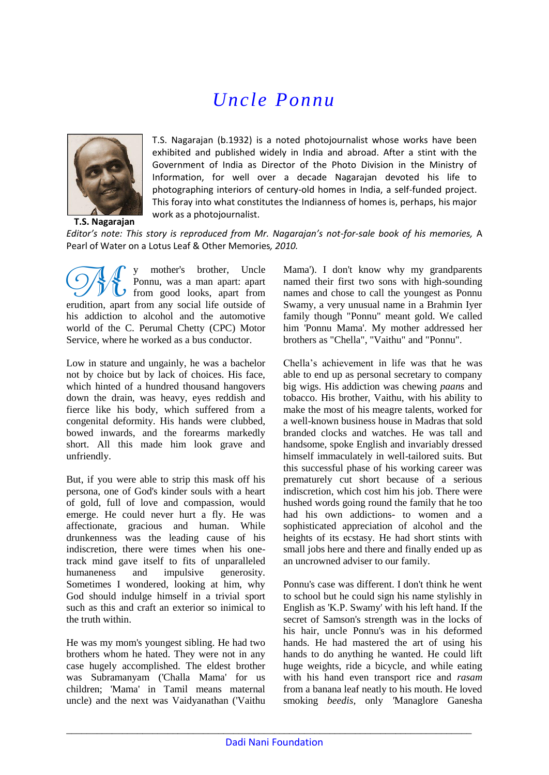## *Uncle Ponnu*



T.S. Nagarajan (b.1932) is a noted photojournalist whose works have been exhibited and published widely in India and abroad. After a stint with the Government of India as Director of the Photo Division in the Ministry of Information, for well over a decade Nagarajan devoted his life to photographing interiors of century-old homes in India, a self-funded project. This foray into what constitutes the Indianness of homes is, perhaps, his major work as a photojournalist.

*Editor's note: This story is reproduced from Mr. Nagarajan's not-for-sale book of his memories,* A Pearl of Water on a Lotus Leaf & Other Memories*, 2010.*

mother's brother, Uncle Ponnu, was a man apart: apart from good looks, apart from erudition, apart from any social life outside of his addiction to alcohol and the automotive world of the C. Perumal Chetty (CPC) Motor Service, where he worked as a bus conductor. **SH** 

Low in stature and ungainly, he was a bachelor not by choice but by lack of choices. His face, which hinted of a hundred thousand hangovers down the drain, was heavy, eyes reddish and fierce like his body, which suffered from a congenital deformity. His hands were clubbed, bowed inwards, and the forearms markedly short. All this made him look grave and unfriendly.

But, if you were able to strip this mask off his persona, one of God's kinder souls with a heart of gold, full of love and compassion, would emerge. He could never hurt a fly. He was affectionate, gracious and human. While drunkenness was the leading cause of his indiscretion, there were times when his onetrack mind gave itself to fits of unparalleled humaneness and impulsive generosity. Sometimes I wondered, looking at him, why God should indulge himself in a trivial sport such as this and craft an exterior so inimical to the truth within.

He was my mom's youngest sibling. He had two brothers whom he hated. They were not in any case hugely accomplished. The eldest brother was Subramanyam ('Challa Mama' for us children; 'Mama' in Tamil means maternal uncle) and the next was Vaidyanathan ('Vaithu Mama'). I don't know why my grandparents named their first two sons with high-sounding names and chose to call the youngest as Ponnu Swamy, a very unusual name in a Brahmin Iyer family though "Ponnu" meant gold. We called him 'Ponnu Mama'. My mother addressed her brothers as "Chella", "Vaithu" and "Ponnu".

Chella's achievement in life was that he was able to end up as personal secretary to company big wigs. His addiction was chewing *paans* and tobacco. His brother, Vaithu, with his ability to make the most of his meagre talents, worked for a well-known business house in Madras that sold branded clocks and watches. He was tall and handsome, spoke English and invariably dressed himself immaculately in well-tailored suits. But this successful phase of his working career was prematurely cut short because of a serious indiscretion, which cost him his job. There were hushed words going round the family that he too had his own addictions- to women and a sophisticated appreciation of alcohol and the heights of its ecstasy. He had short stints with small jobs here and there and finally ended up as an uncrowned adviser to our family.

Ponnu's case was different. I don't think he went to school but he could sign his name stylishly in English as 'K.P. Swamy' with his left hand. If the secret of Samson's strength was in the locks of his hair, uncle Ponnu's was in his deformed hands. He had mastered the art of using his hands to do anything he wanted. He could lift huge weights, ride a bicycle, and while eating with his hand even transport rice and *rasam* from a banana leaf neatly to his mouth. He loved smoking *beedis,* only *'*Managlore Ganesha

\_\_\_\_\_\_\_\_\_\_\_\_\_\_\_\_\_\_\_\_\_\_\_\_\_\_\_\_\_\_\_\_\_\_\_\_\_\_\_\_\_\_\_\_\_\_\_\_\_\_\_\_\_\_\_\_\_\_\_\_\_\_\_\_\_\_\_\_\_\_\_\_\_\_\_\_\_\_\_\_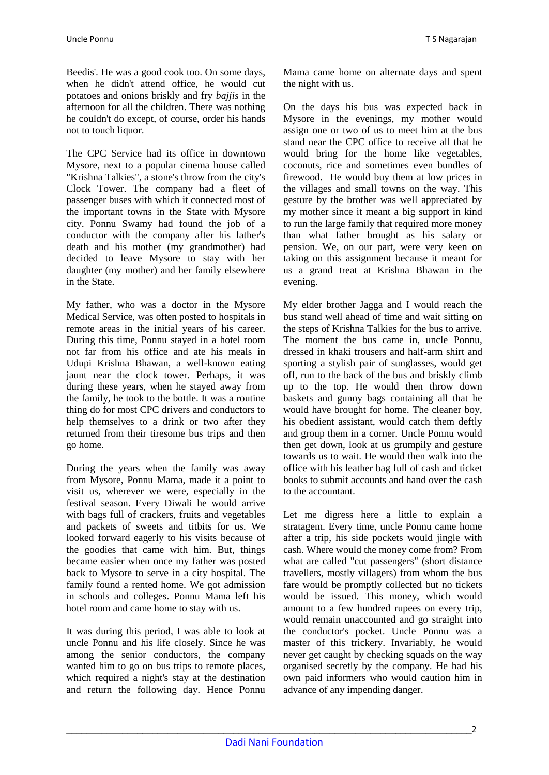Beedis'. He was a good cook too. On some days,

when he didn't attend office, he would cut potatoes and onions briskly and fry *bajjis* in the afternoon for all the children. There was nothing he couldn't do except, of course, order his hands not to touch liquor.

The CPC Service had its office in downtown Mysore, next to a popular cinema house called "Krishna Talkies", a stone's throw from the city's Clock Tower. The company had a fleet of passenger buses with which it connected most of the important towns in the State with Mysore city. Ponnu Swamy had found the job of a conductor with the company after his father's death and his mother (my grandmother) had decided to leave Mysore to stay with her daughter (my mother) and her family elsewhere in the State.

My father, who was a doctor in the Mysore Medical Service, was often posted to hospitals in remote areas in the initial years of his career. During this time, Ponnu stayed in a hotel room not far from his office and ate his meals in Udupi Krishna Bhawan, a well-known eating jaunt near the clock tower. Perhaps, it was during these years, when he stayed away from the family, he took to the bottle. It was a routine thing do for most CPC drivers and conductors to help themselves to a drink or two after they returned from their tiresome bus trips and then go home.

During the years when the family was away from Mysore, Ponnu Mama, made it a point to visit us, wherever we were, especially in the festival season. Every Diwali he would arrive with bags full of crackers, fruits and vegetables and packets of sweets and titbits for us. We looked forward eagerly to his visits because of the goodies that came with him. But, things became easier when once my father was posted back to Mysore to serve in a city hospital. The family found a rented home. We got admission in schools and colleges. Ponnu Mama left his hotel room and came home to stay with us.

It was during this period, I was able to look at uncle Ponnu and his life closely. Since he was among the senior conductors, the company wanted him to go on bus trips to remote places, which required a night's stay at the destination and return the following day. Hence Ponnu

Mama came home on alternate days and spent the night with us.

On the days his bus was expected back in Mysore in the evenings, my mother would assign one or two of us to meet him at the bus stand near the CPC office to receive all that he would bring for the home like vegetables, coconuts, rice and sometimes even bundles of firewood. He would buy them at low prices in the villages and small towns on the way. This gesture by the brother was well appreciated by my mother since it meant a big support in kind to run the large family that required more money than what father brought as his salary or pension. We, on our part, were very keen on taking on this assignment because it meant for us a grand treat at Krishna Bhawan in the evening.

My elder brother Jagga and I would reach the bus stand well ahead of time and wait sitting on the steps of Krishna Talkies for the bus to arrive. The moment the bus came in, uncle Ponnu, dressed in khaki trousers and half-arm shirt and sporting a stylish pair of sunglasses, would get off, run to the back of the bus and briskly climb up to the top. He would then throw down baskets and gunny bags containing all that he would have brought for home. The cleaner boy, his obedient assistant, would catch them deftly and group them in a corner. Uncle Ponnu would then get down, look at us grumpily and gesture towards us to wait. He would then walk into the office with his leather bag full of cash and ticket books to submit accounts and hand over the cash to the accountant.

Let me digress here a little to explain a stratagem. Every time, uncle Ponnu came home after a trip, his side pockets would jingle with cash. Where would the money come from? From what are called "cut passengers" (short distance travellers, mostly villagers) from whom the bus fare would be promptly collected but no tickets would be issued. This money, which would amount to a few hundred rupees on every trip, would remain unaccounted and go straight into the conductor's pocket. Uncle Ponnu was a master of this trickery. Invariably, he would never get caught by checking squads on the way organised secretly by the company. He had his own paid informers who would caution him in advance of any impending danger.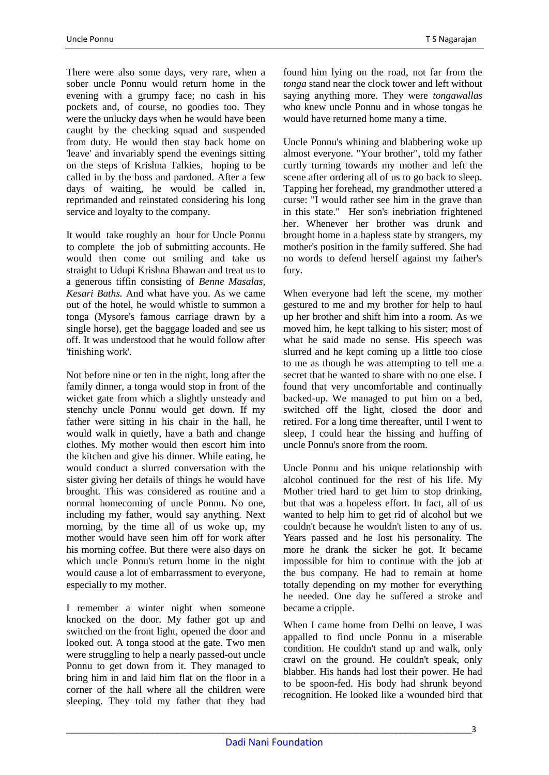There were also some days, very rare, when a sober uncle Ponnu would return home in the evening with a grumpy face; no cash in his pockets and, of course, no goodies too. They were the unlucky days when he would have been caught by the checking squad and suspended from duty. He would then stay back home on 'leave' and invariably spend the evenings sitting on the steps of Krishna Talkies, hoping to be called in by the boss and pardoned. After a few days of waiting, he would be called in, reprimanded and reinstated considering his long service and loyalty to the company.

It would take roughly an hour for Uncle Ponnu to complete the job of submitting accounts. He would then come out smiling and take us straight to Udupi Krishna Bhawan and treat us to a generous tiffin consisting of *Benne Masalas, Kesari Baths.* And what have you. As we came out of the hotel, he would whistle to summon a tonga (Mysore's famous carriage drawn by a single horse), get the baggage loaded and see us off. It was understood that he would follow after 'finishing work'.

Not before nine or ten in the night, long after the family dinner, a tonga would stop in front of the wicket gate from which a slightly unsteady and stenchy uncle Ponnu would get down. If my father were sitting in his chair in the hall, he would walk in quietly, have a bath and change clothes. My mother would then escort him into the kitchen and give his dinner. While eating, he would conduct a slurred conversation with the sister giving her details of things he would have brought. This was considered as routine and a normal homecoming of uncle Ponnu. No one, including my father, would say anything. Next morning, by the time all of us woke up, my mother would have seen him off for work after his morning coffee. But there were also days on which uncle Ponnu's return home in the night would cause a lot of embarrassment to everyone, especially to my mother.

I remember a winter night when someone knocked on the door. My father got up and switched on the front light, opened the door and looked out. A tonga stood at the gate. Two men were struggling to help a nearly passed-out uncle Ponnu to get down from it. They managed to bring him in and laid him flat on the floor in a corner of the hall where all the children were sleeping. They told my father that they had found him lying on the road, not far from the *tonga* stand near the clock tower and left without saying anything more. They were *tongawallas* who knew uncle Ponnu and in whose tongas he would have returned home many a time.

Uncle Ponnu's whining and blabbering woke up almost everyone. "Your brother", told my father curtly turning towards my mother and left the scene after ordering all of us to go back to sleep. Tapping her forehead, my grandmother uttered a curse: "I would rather see him in the grave than in this state." Her son's inebriation frightened her. Whenever her brother was drunk and brought home in a hapless state by strangers, my mother's position in the family suffered. She had no words to defend herself against my father's fury.

When everyone had left the scene, my mother gestured to me and my brother for help to haul up her brother and shift him into a room. As we moved him, he kept talking to his sister; most of what he said made no sense. His speech was slurred and he kept coming up a little too close to me as though he was attempting to tell me a secret that he wanted to share with no one else. I found that very uncomfortable and continually backed-up. We managed to put him on a bed, switched off the light, closed the door and retired. For a long time thereafter, until I went to sleep, I could hear the hissing and huffing of uncle Ponnu's snore from the room.

Uncle Ponnu and his unique relationship with alcohol continued for the rest of his life. My Mother tried hard to get him to stop drinking, but that was a hopeless effort. In fact, all of us wanted to help him to get rid of alcohol but we couldn't because he wouldn't listen to any of us. Years passed and he lost his personality. The more he drank the sicker he got. It became impossible for him to continue with the job at the bus company. He had to remain at home totally depending on my mother for everything he needed. One day he suffered a stroke and became a cripple.

When I came home from Delhi on leave, I was appalled to find uncle Ponnu in a miserable condition. He couldn't stand up and walk, only crawl on the ground. He couldn't speak, only blabber. His hands had lost their power. He had to be spoon-fed. His body had shrunk beyond recognition. He looked like a wounded bird that